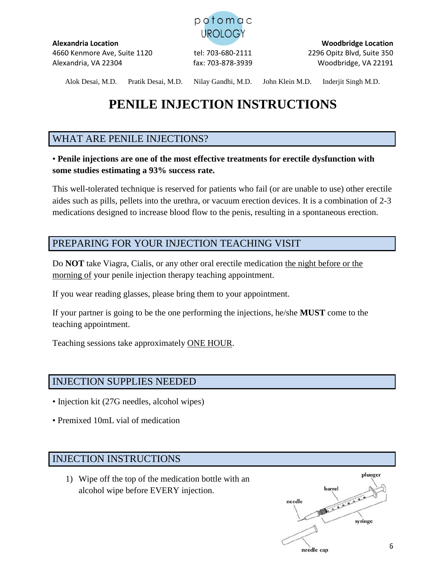

**Alexandria Location Woodbridge Location** 4660 Kenmore Ave, Suite 1120 tel: 703-680-2111 2296 Opitz Blvd, Suite 350 Alexandria, VA 22304 fax: 703-878-3939 Woodbridge, VA 22191

Alok Desai, M.D. Pratik Desai, M.D. Nilay Gandhi, M.D. John Klein M.D. Inderjit Singh M.D.

# **PENILE INJECTION INSTRUCTIONS**

# WHAT ARE PENILE INJECTIONS?

## • **Penile injections are one of the most effective treatments for erectile dysfunction with some studies estimating a 93% success rate.**

This well-tolerated technique is reserved for patients who fail (or are unable to use) other erectile aides such as pills, pellets into the urethra, or vacuum erection devices. It is a combination of 2-3 medications designed to increase blood flow to the penis, resulting in a spontaneous erection.

# PREPARING FOR YOUR INJECTION TEACHING VISIT

Do **NOT** take Viagra, Cialis, or any other oral erectile medication the night before or the morning of your penile injection therapy teaching appointment.

If you wear reading glasses, please bring them to your appointment.

If your partner is going to be the one performing the injections, he/she **MUST** come to the teaching appointment.

Teaching sessions take approximately ONE HOUR.

# INJECTION SUPPLIES NEEDED

- Injection kit (27G needles, alcohol wipes)
- Premixed 10mL vial of medication

# INJECTION INSTRUCTIONS

1) Wipe off the top of the medication bottle with an alcohol wipe before EVERY injection.

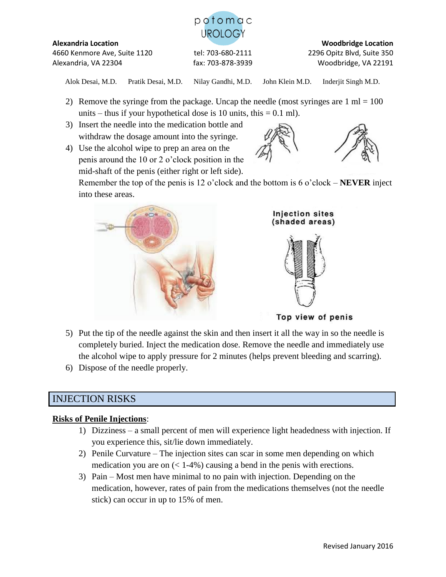

4660 Kenmore Ave, Suite 1120 tel: 703-680-2111 2296 Opitz Blvd, Suite 350 Alexandria, VA 22304 fax: 703-878-3939 Woodbridge, VA 22191

**Alexandria Location Woodbridge Location**

Alok Desai, M.D. Pratik Desai, M.D. Nilay Gandhi, M.D. John Klein M.D. Inderjit Singh M.D.

- 2) Remove the syringe from the package. Uncap the needle (most syringes are  $1 \text{ ml} = 100$ units – thus if your hypothetical dose is 10 units, this  $= 0.1$  ml).
- 3) Insert the needle into the medication bottle and withdraw the dosage amount into the syringe.
- 4) Use the alcohol wipe to prep an area on the penis around the 10 or 2 o'clock position in the mid-shaft of the penis (either right or left side).



Remember the top of the penis is 12 o'clock and the bottom is 6 o'clock – **NEVER** inject into these areas.





Top view of penis

- 5) Put the tip of the needle against the skin and then insert it all the way in so the needle is completely buried. Inject the medication dose. Remove the needle and immediately use the alcohol wipe to apply pressure for 2 minutes (helps prevent bleeding and scarring).
- 6) Dispose of the needle properly.

# INJECTION RISKS

### **Risks of Penile Injections**:

- 1) Dizziness a small percent of men will experience light headedness with injection. If you experience this, sit/lie down immediately.
- 2) Penile Curvature The injection sites can scar in some men depending on which medication you are on  $\ll 1-4\%$ ) causing a bend in the penis with erections.
- 3) Pain Most men have minimal to no pain with injection. Depending on the medication, however, rates of pain from the medications themselves (not the needle stick) can occur in up to 15% of men.